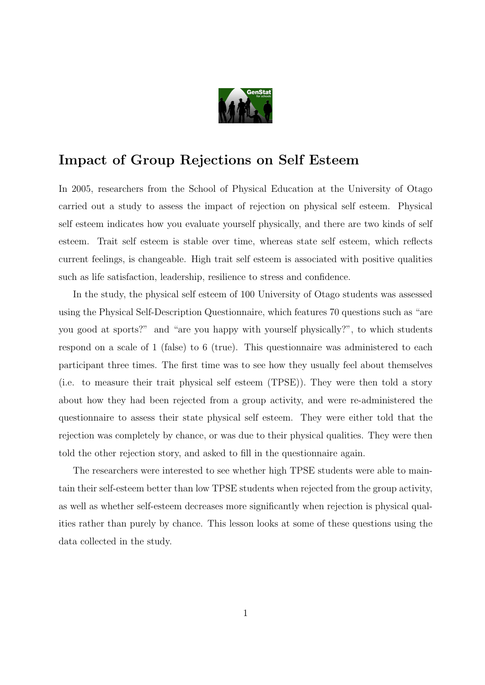

## Impact of Group Rejections on Self Esteem

In 2005, researchers from the School of Physical Education at the University of Otago carried out a study to assess the impact of rejection on physical self esteem. Physical self esteem indicates how you evaluate yourself physically, and there are two kinds of self esteem. Trait self esteem is stable over time, whereas state self esteem, which reflects current feelings, is changeable. High trait self esteem is associated with positive qualities such as life satisfaction, leadership, resilience to stress and confidence.

In the study, the physical self esteem of 100 University of Otago students was assessed using the Physical Self-Description Questionnaire, which features 70 questions such as "are you good at sports?" and "are you happy with yourself physically?", to which students respond on a scale of 1 (false) to 6 (true). This questionnaire was administered to each participant three times. The first time was to see how they usually feel about themselves (i.e. to measure their trait physical self esteem (TPSE)). They were then told a story about how they had been rejected from a group activity, and were re-administered the questionnaire to assess their state physical self esteem. They were either told that the rejection was completely by chance, or was due to their physical qualities. They were then told the other rejection story, and asked to fill in the questionnaire again.

The researchers were interested to see whether high TPSE students were able to maintain their self-esteem better than low TPSE students when rejected from the group activity, as well as whether self-esteem decreases more significantly when rejection is physical qualities rather than purely by chance. This lesson looks at some of these questions using the data collected in the study.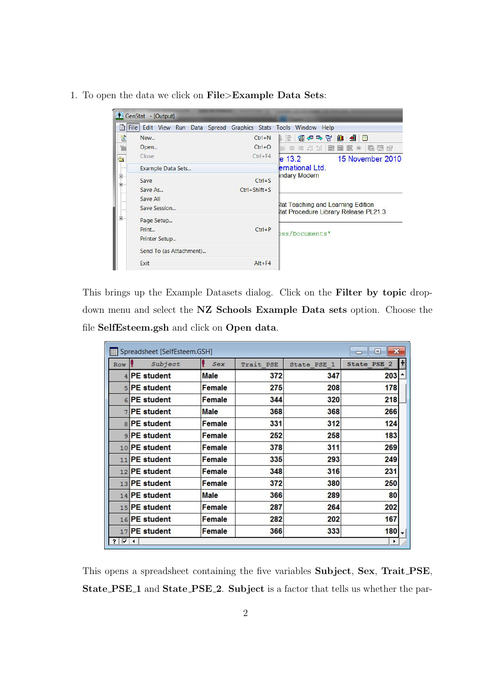1. To open the data we click on File>Example Data Sets:

|                                                                                                                                                                                                                                                                                                                                                  | GenStat - [Output]                                                        |                                         |                                                                                                                                               |  |
|--------------------------------------------------------------------------------------------------------------------------------------------------------------------------------------------------------------------------------------------------------------------------------------------------------------------------------------------------|---------------------------------------------------------------------------|-----------------------------------------|-----------------------------------------------------------------------------------------------------------------------------------------------|--|
| B                                                                                                                                                                                                                                                                                                                                                | <b>File</b><br>Edit View Run Data Spread Graphics Stats Tools Window Help |                                         |                                                                                                                                               |  |
| 憎<br>¥<br>$\bullet$                                                                                                                                                                                                                                                                                                                              | New<br>Open<br>Close                                                      | $Ctrl + N$<br>$Ctrl + O$<br>$Ctrl + F4$ | 仙<br>图伊马冒<br>山野<br>$\blacksquare$<br>目言言: 3. 3<br>嚴<br>麘<br>麘<br>驅<br><b>WEB</b><br>非<br>餅<br>$e$ 13.2<br>15 November 2010<br>ernational Ltd. |  |
| $\begin{picture}(120,140)(-10,0) \put(0,0){\line(1,0){15}} \put(10,0){\line(1,0){15}} \put(10,0){\line(1,0){15}} \put(10,0){\line(1,0){15}} \put(10,0){\line(1,0){15}} \put(10,0){\line(1,0){15}} \put(10,0){\line(1,0){15}} \put(10,0){\line(1,0){15}} \put(10,0){\line(1,0){15}} \put(10,0){\line(1,0){15}} \put(10,0){\line(1,0){15}} \put(1$ | Example Data Sets<br>Save<br>Save As<br>Save All<br>Save Session          | $Ctrl + S$<br>$Ctrl + Shift + S$        | <b>Indary Modern</b><br>Itat Teaching and Learning Edition<br>Itat Procedure Library Release PL21.3                                           |  |
| Ė-                                                                                                                                                                                                                                                                                                                                               | Page Setup<br>Print<br>Printer Setup                                      | $Ctrl + P$                              | bss/Documents'                                                                                                                                |  |
|                                                                                                                                                                                                                                                                                                                                                  | Send To (as Attachment)                                                   |                                         |                                                                                                                                               |  |
|                                                                                                                                                                                                                                                                                                                                                  | Exit                                                                      | $Alt + F4$                              |                                                                                                                                               |  |

This brings up the Example Datasets dialog. Click on the Filter by topic dropdown menu and select the NZ Schools Example Data sets option. Choose the file SelfEsteem.gsh and click on Open data.

| Spreadsheet [SelfEsteem.GSH]<br>$\vert$<br>- |                   |               |           |             |                                    |                          |  |
|----------------------------------------------|-------------------|---------------|-----------|-------------|------------------------------------|--------------------------|--|
| Row                                          | Subject           | Sex           | Trait PSE | State PSE 1 | <b>State PSE</b><br>$\overline{2}$ | н                        |  |
|                                              | <b>PE</b> student | <b>Male</b>   | 372       | 347         | 203                                | ٠                        |  |
| 5 <sup>1</sup>                               | <b>PE</b> student | Female        | 275       | 208         | 178                                |                          |  |
|                                              | 6 PE student      | Female        | 344       | 320         | 218                                |                          |  |
| 7 <sup>1</sup>                               | <b>PE</b> student | <b>Male</b>   | 368       | 368         | 266                                |                          |  |
| $\mathsf{R}$                                 | <b>PE</b> student | Female        | 331       | 312         | 124                                |                          |  |
|                                              | 9 PE student      | Female        | 252       | 258         | 183                                |                          |  |
|                                              | 10 PE student     | <b>Female</b> | 378       | 311         | 269                                |                          |  |
|                                              | 11 PE student     | <b>Female</b> | 335       | 293         | 249                                |                          |  |
|                                              | 12 PE student     | Female        | 348       | 316         | 231                                |                          |  |
|                                              | 13 PE student     | Female        | 372       | 380         | 250                                |                          |  |
|                                              | 14 PE student     | <b>Male</b>   | 366       | 289         | 80                                 |                          |  |
|                                              | 15 PE student     | Female        | 287       | 264         | 202                                |                          |  |
|                                              | 16 PE student     | Female        | 282       | 202         | 167                                |                          |  |
| 17                                           | <b>PE</b> student | Female        | 366       | 333         | 180                                | $\overline{\phantom{0}}$ |  |
| ?  V                                         | ◂                 |               |           |             | ▶                                  |                          |  |

This opens a spreadsheet containing the five variables Subject, Sex, Trait PSE, State\_PSE\_1 and State\_PSE\_2. Subject is a factor that tells us whether the par-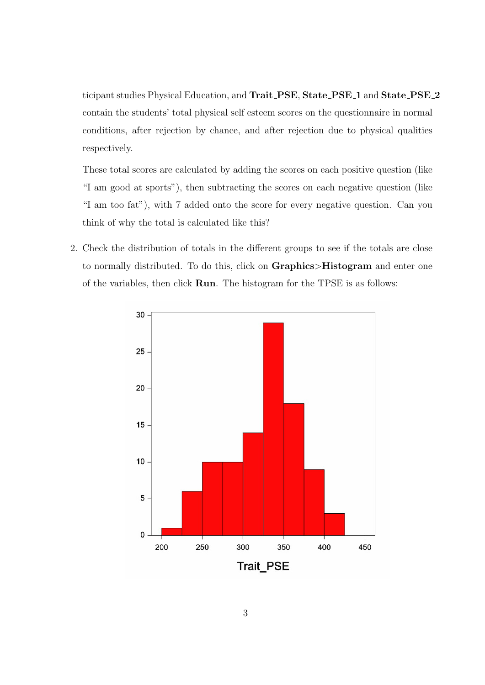ticipant studies Physical Education, and Trait\_PSE, State\_PSE\_1 and State\_PSE\_2 contain the students' total physical self esteem scores on the questionnaire in normal conditions, after rejection by chance, and after rejection due to physical qualities respectively.

These total scores are calculated by adding the scores on each positive question (like "I am good at sports"), then subtracting the scores on each negative question (like "I am too fat"), with 7 added onto the score for every negative question. Can you think of why the total is calculated like this?

2. Check the distribution of totals in the different groups to see if the totals are close to normally distributed. To do this, click on Graphics>Histogram and enter one of the variables, then click Run. The histogram for the TPSE is as follows:

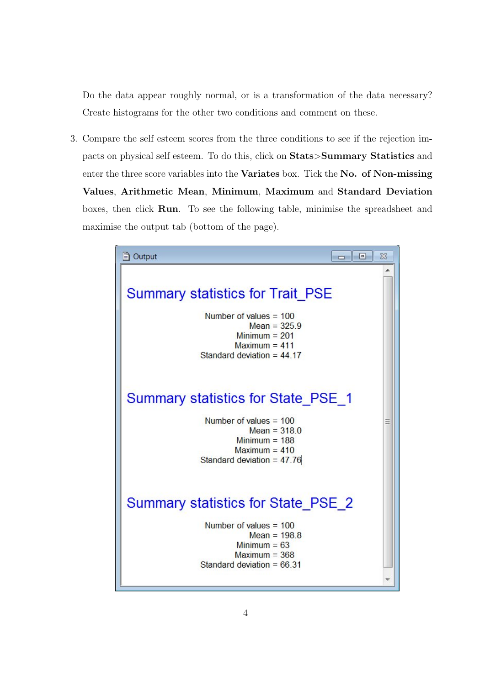Do the data appear roughly normal, or is a transformation of the data necessary? Create histograms for the other two conditions and comment on these.

3. Compare the self esteem scores from the three conditions to see if the rejection impacts on physical self esteem. To do this, click on Stats>Summary Statistics and enter the three score variables into the Variates box. Tick the No. of Non-missing Values, Arithmetic Mean, Minimum, Maximum and Standard Deviation boxes, then click Run. To see the following table, minimise the spreadsheet and maximise the output tab (bottom of the page).

| m Output<br>$\vert$ = $\vert$                                                                                                                               | X |
|-------------------------------------------------------------------------------------------------------------------------------------------------------------|---|
| <b>Summary statistics for Trait PSE</b><br>Number of values $= 100$<br>Mean = $325.9$<br>Minimum $= 201$<br>Maximum $= 411$<br>Standard deviation = $44.17$ |   |
| Summary statistics for State PSE 1<br>Number of values $= 100$<br>Mean = $318.0$<br>Minimum $= 188$<br>Maximum $= 410$<br>Standard deviation = $47.76$      |   |
| Summary statistics for State PSE 2<br>Number of values $= 100$<br>Mean = $198.8$<br>Minimum $= 63$<br>Maximum $=$ 368<br>Standard deviation = $66.31$       |   |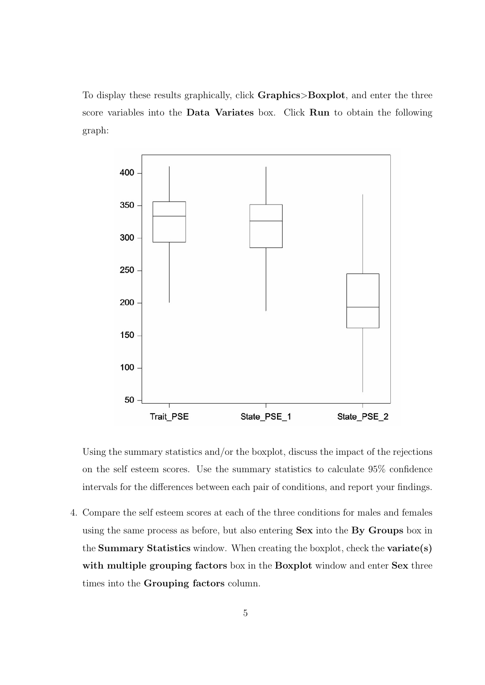To display these results graphically, click Graphics>Boxplot, and enter the three score variables into the Data Variates box. Click Run to obtain the following graph:



Using the summary statistics and/or the boxplot, discuss the impact of the rejections on the self esteem scores. Use the summary statistics to calculate 95% confidence intervals for the differences between each pair of conditions, and report your findings.

4. Compare the self esteem scores at each of the three conditions for males and females using the same process as before, but also entering Sex into the By Groups box in the Summary Statistics window. When creating the boxplot, check the variate(s) with multiple grouping factors box in the Boxplot window and enter Sex three times into the Grouping factors column.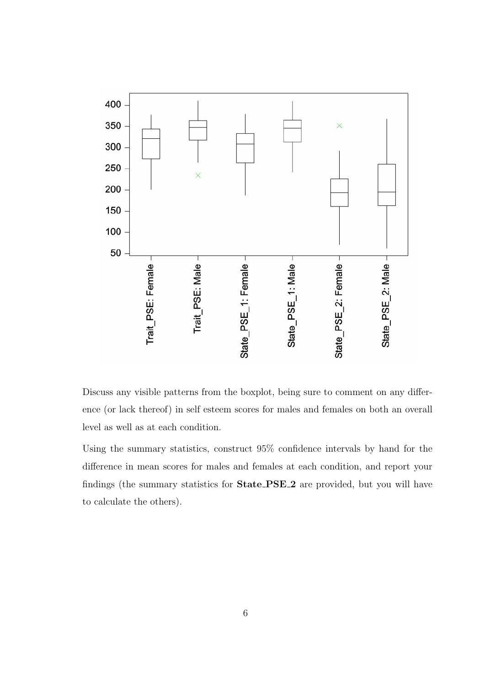

Discuss any visible patterns from the boxplot, being sure to comment on any difference (or lack thereof) in self esteem scores for males and females on both an overall level as well as at each condition.

Using the summary statistics, construct 95% confidence intervals by hand for the difference in mean scores for males and females at each condition, and report your findings (the summary statistics for State PSE 2 are provided, but you will have to calculate the others).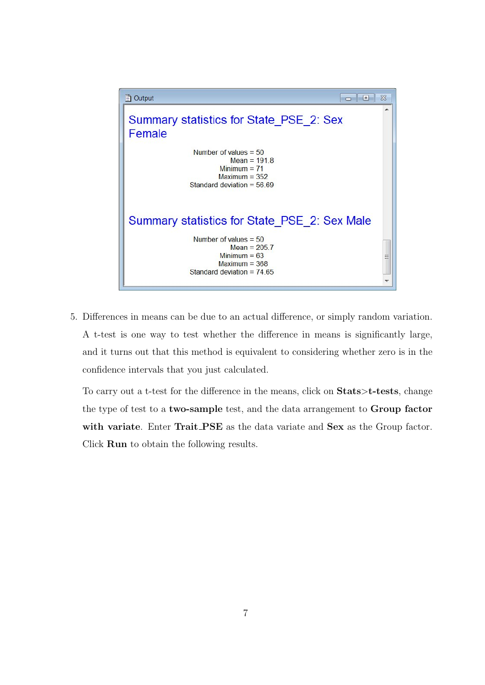

5. Differences in means can be due to an actual difference, or simply random variation. A t-test is one way to test whether the difference in means is significantly large, and it turns out that this method is equivalent to considering whether zero is in the confidence intervals that you just calculated.

To carry out a t-test for the difference in the means, click on Stats>t-tests, change the type of test to a two-sample test, and the data arrangement to Group factor with variate. Enter Trait PSE as the data variate and Sex as the Group factor. Click Run to obtain the following results.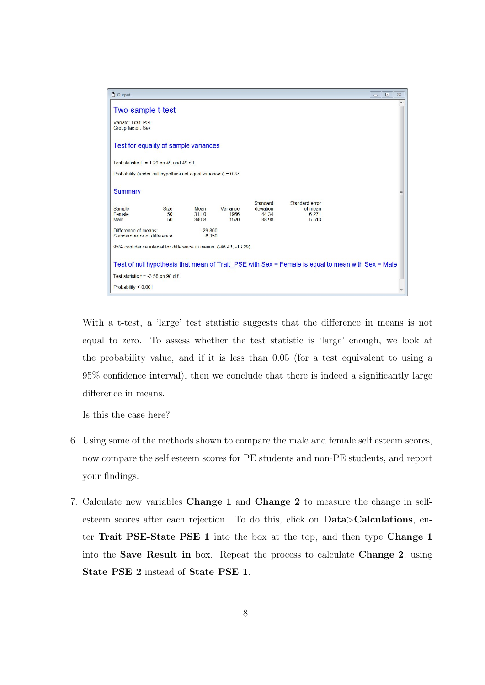

With a t-test, a 'large' test statistic suggests that the difference in means is not equal to zero. To assess whether the test statistic is 'large' enough, we look at the probability value, and if it is less than 0.05 (for a test equivalent to using a 95% confidence interval), then we conclude that there is indeed a significantly large difference in means.

Is this the case here?

- 6. Using some of the methods shown to compare the male and female self esteem scores, now compare the self esteem scores for PE students and non-PE students, and report your findings.
- 7. Calculate new variables Change 1 and Change 2 to measure the change in selfesteem scores after each rejection. To do this, click on Data>Calculations, enter Trait PSE-State PSE<sub>-1</sub> into the box at the top, and then type Change<sub>-1</sub> into the Save Result in box. Repeat the process to calculate Change 2, using State\_PSE\_2 instead of State\_PSE\_1.